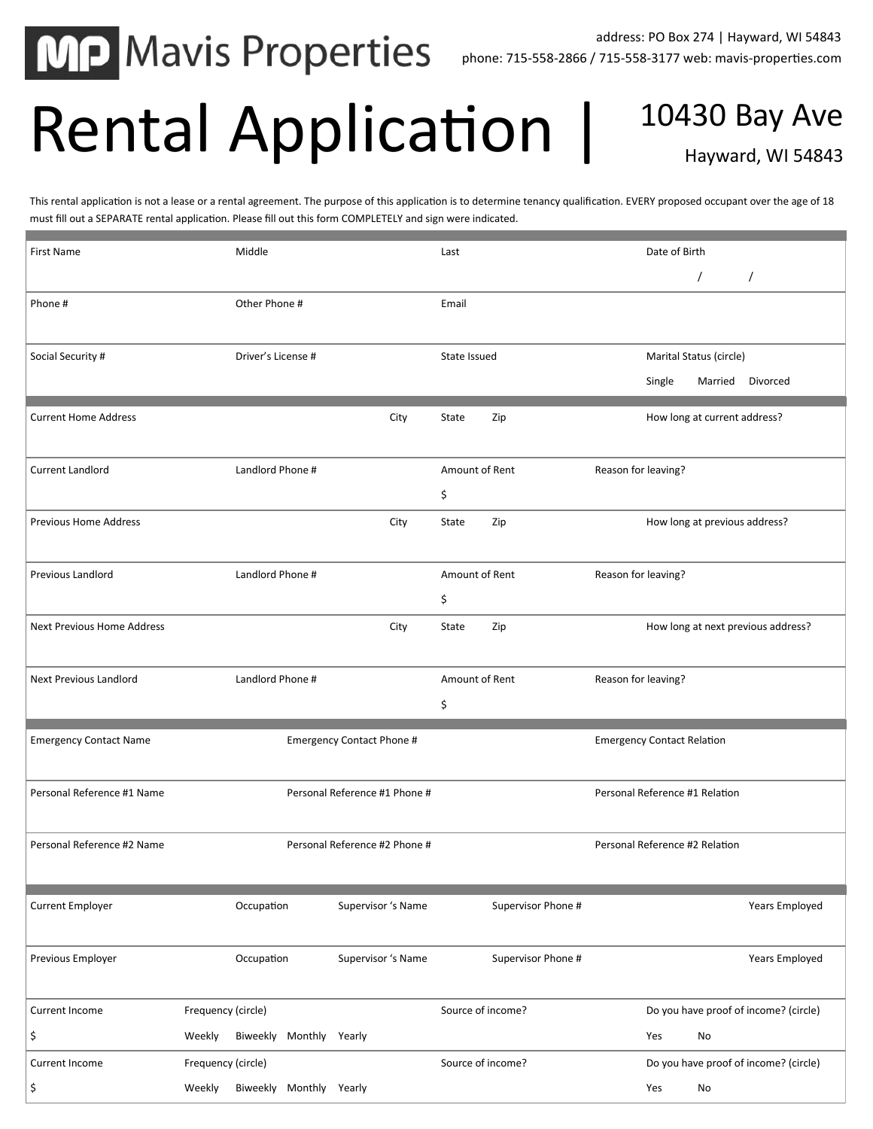**MP Mavis Properties** 

## Rental Application | 10430 Bay Ave

Hayward, WI 54843

This rental application is not a lease or a rental agreement. The purpose of this application is to determine tenancy qualification. EVERY proposed occupant over the age of 18 must fill out a SEPARATE rental application. Please fill out this form COMPLETELY and sign were indicated.

| <b>First Name</b>                 | Middle                            |                               |                    | Date of Birth                         |
|-----------------------------------|-----------------------------------|-------------------------------|--------------------|---------------------------------------|
|                                   |                                   |                               |                    | $\prime$<br>$\prime$                  |
| Phone#                            | Other Phone #                     |                               | Email              |                                       |
|                                   |                                   |                               |                    |                                       |
| Social Security #                 | Driver's License #                |                               | State Issued       | Marital Status (circle)               |
|                                   |                                   |                               |                    | Single<br>Married Divorced            |
| <b>Current Home Address</b>       |                                   | City                          | State<br>Zip       | How long at current address?          |
|                                   |                                   |                               |                    |                                       |
| Current Landlord                  | Landlord Phone #                  |                               | Amount of Rent     | Reason for leaving?                   |
|                                   |                                   |                               | \$                 |                                       |
| <b>Previous Home Address</b>      |                                   | City                          | Zip<br>State       | How long at previous address?         |
|                                   |                                   |                               |                    |                                       |
| <b>Previous Landlord</b>          | Landlord Phone #                  |                               | Amount of Rent     | Reason for leaving?                   |
|                                   |                                   |                               | \$                 |                                       |
| <b>Next Previous Home Address</b> |                                   | City                          | Zip<br>State       | How long at next previous address?    |
|                                   |                                   |                               |                    |                                       |
| <b>Next Previous Landlord</b>     | Landlord Phone #                  |                               | Amount of Rent     | Reason for leaving?                   |
|                                   |                                   |                               | \$                 |                                       |
| <b>Emergency Contact Name</b>     |                                   | Emergency Contact Phone #     |                    | <b>Emergency Contact Relation</b>     |
|                                   |                                   |                               |                    |                                       |
| Personal Reference #1 Name        |                                   | Personal Reference #1 Phone # |                    | Personal Reference #1 Relation        |
|                                   |                                   |                               |                    |                                       |
| Personal Reference #2 Name        |                                   | Personal Reference #2 Phone # |                    | Personal Reference #2 Relation        |
|                                   |                                   |                               |                    |                                       |
| <b>Current Employer</b>           | Occupation                        | Supervisor 's Name            | Supervisor Phone # | Years Employed                        |
|                                   |                                   |                               |                    |                                       |
| Previous Employer                 | Occupation                        | Supervisor 's Name            | Supervisor Phone # | Years Employed                        |
|                                   |                                   |                               |                    |                                       |
| Current Income                    | Frequency (circle)                |                               | Source of income?  | Do you have proof of income? (circle) |
| \$                                | Biweekly Monthly Yearly<br>Weekly |                               |                    | Yes<br>No                             |
| Current Income                    | Frequency (circle)                |                               | Source of income?  | Do you have proof of income? (circle) |
| \$                                | Biweekly Monthly Yearly<br>Weekly |                               |                    | Yes<br>No                             |